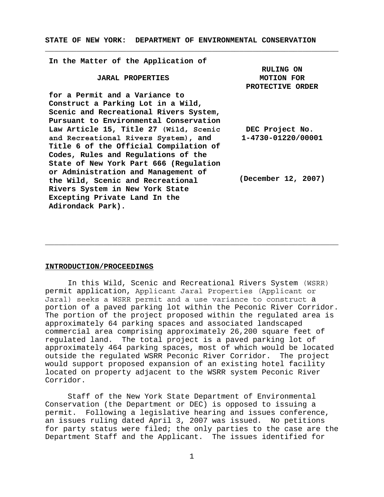**STATE OF NEW YORK: DEPARTMENT OF ENVIRONMENTAL CONSERVATION**

**\_\_\_\_\_\_\_\_\_\_\_\_\_\_\_\_\_\_\_\_\_\_\_\_\_\_\_\_\_\_\_\_\_\_\_\_\_\_\_\_\_\_\_\_\_\_\_\_\_\_\_\_\_\_\_\_\_\_\_\_\_\_\_\_\_**

**In the Matter of the Application of JARAL PROPERTIES for a Permit and a Variance to Construct a Parking Lot in a Wild, Scenic and Recreational Rivers System, Pursuant to Environmental Conservation Law Article 15, Title 27 (Wild, Scenic and Recreational Rivers System), and Title 6 of the Official Compilation of Codes, Rules and Regulations of the State of New York Part 666 (Regulation or Administration and Management of the Wild, Scenic and Recreational Rivers System in New York State Excepting Private Land In the Adirondack Park). RULING ON MOTION FOR PROTECTIVE ORDER DEC Project No. 1-4730-01220/00001 (December 12, 2007)**

#### **INTRODUCTION/PROCEEDINGS**

In this Wild, Scenic and Recreational Rivers System (WSRR) permit application, Applicant Jaral Properties (Applicant or Jaral) seeks a WSRR permit and a use variance to construct a portion of a paved parking lot within the Peconic River Corridor. The portion of the project proposed within the regulated area is approximately 64 parking spaces and associated landscaped commercial area comprising approximately 26,200 square feet of regulated land. The total project is a paved parking lot of approximately 464 parking spaces, most of which would be located outside the regulated WSRR Peconic River Corridor. The project would support proposed expansion of an existing hotel facility located on property adjacent to the WSRR system Peconic River Corridor.

\_\_\_\_\_\_\_\_\_\_\_\_\_\_\_\_\_\_\_\_\_\_\_\_\_\_\_\_\_\_\_\_\_\_\_\_\_\_\_\_\_\_\_\_\_\_\_\_\_\_\_\_\_\_\_\_\_\_\_\_\_\_\_\_\_

Staff of the New York State Department of Environmental Conservation (the Department or DEC) is opposed to issuing a permit. Following a legislative hearing and issues conference, an issues ruling dated April 3, 2007 was issued. No petitions for party status were filed; the only parties to the case are the Department Staff and the Applicant. The issues identified for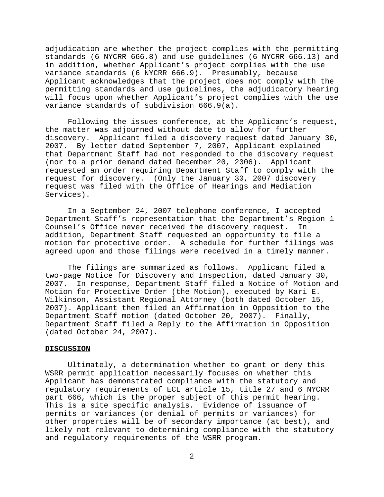adjudication are whether the project complies with the permitting standards (6 NYCRR 666.8) and use guidelines (6 NYCRR 666.13) and in addition, whether Applicant's project complies with the use variance standards (6 NYCRR 666.9). Presumably, because Applicant acknowledges that the project does not comply with the permitting standards and use guidelines, the adjudicatory hearing will focus upon whether Applicant's project complies with the use variance standards of subdivision 666.9(a).

Following the issues conference, at the Applicant's request, the matter was adjourned without date to allow for further discovery. Applicant filed a discovery request dated January 30, 2007. By letter dated September 7, 2007, Applicant explained that Department Staff had not responded to the discovery request (nor to a prior demand dated December 20, 2006). Applicant requested an order requiring Department Staff to comply with the request for discovery. (Only the January 30, 2007 discovery request was filed with the Office of Hearings and Mediation Services).

In a September 24, 2007 telephone conference, I accepted Department Staff's representation that the Department's Region 1 Counsel's Office never received the discovery request. In addition, Department Staff requested an opportunity to file a motion for protective order. A schedule for further filings was agreed upon and those filings were received in a timely manner.

The filings are summarized as follows. Applicant filed a two-page Notice for Discovery and Inspection, dated January 30, 2007. In response, Department Staff filed a Notice of Motion and Motion for Protective Order (the Motion), executed by Kari E. Wilkinson, Assistant Regional Attorney (both dated October 15, 2007). Applicant then filed an Affirmation in Opposition to the Department Staff motion (dated October 20, 2007). Finally, Department Staff filed a Reply to the Affirmation in Opposition (dated October 24, 2007).

#### **DISCUSSION**

Ultimately, a determination whether to grant or deny this WSRR permit application necessarily focuses on whether this Applicant has demonstrated compliance with the statutory and regulatory requirements of ECL article 15, title 27 and 6 NYCRR part 666, which is the proper subject of this permit hearing. This is a site specific analysis. Evidence of issuance of permits or variances (or denial of permits or variances) for other properties will be of secondary importance (at best), and likely not relevant to determining compliance with the statutory and regulatory requirements of the WSRR program.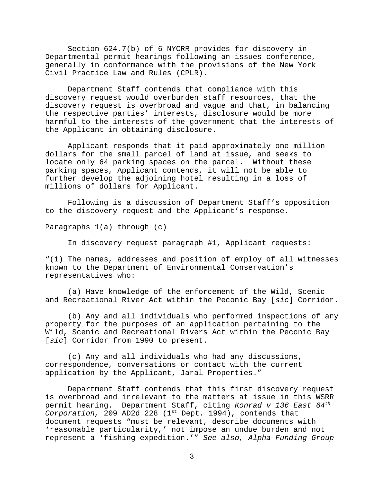Section 624.7(b) of 6 NYCRR provides for discovery in Departmental permit hearings following an issues conference, generally in conformance with the provisions of the New York Civil Practice Law and Rules (CPLR).

Department Staff contends that compliance with this discovery request would overburden staff resources, that the discovery request is overbroad and vague and that, in balancing the respective parties' interests, disclosure would be more harmful to the interests of the government that the interests of the Applicant in obtaining disclosure.

Applicant responds that it paid approximately one million dollars for the small parcel of land at issue, and seeks to locate only 64 parking spaces on the parcel. Without these parking spaces, Applicant contends, it will not be able to further develop the adjoining hotel resulting in a loss of millions of dollars for Applicant.

Following is a discussion of Department Staff's opposition to the discovery request and the Applicant's response.

# Paragraphs 1(a) through (c)

In discovery request paragraph #1, Applicant requests:

"(1) The names, addresses and position of employ of all witnesses known to the Department of Environmental Conservation's representatives who:

(a) Have knowledge of the enforcement of the Wild, Scenic and Recreational River Act within the Peconic Bay [*sic*] Corridor.

(b) Any and all individuals who performed inspections of any property for the purposes of an application pertaining to the Wild, Scenic and Recreational Rivers Act within the Peconic Bay [*sic*] Corridor from 1990 to present.

(c) Any and all individuals who had any discussions, correspondence, conversations or contact with the current application by the Applicant, Jaral Properties."

Department Staff contends that this first discovery request is overbroad and irrelevant to the matters at issue in this WSRR permit hearing. Department Staff, citing *Konrad v 136 East 64th Corporation,* 209 AD2d 228 (1<sup>st</sup> Dept. 1994), contends that document requests "must be relevant, describe documents with 'reasonable particularity,' not impose an undue burden and not represent a 'fishing expedition.'" *See also, Alpha Funding Group*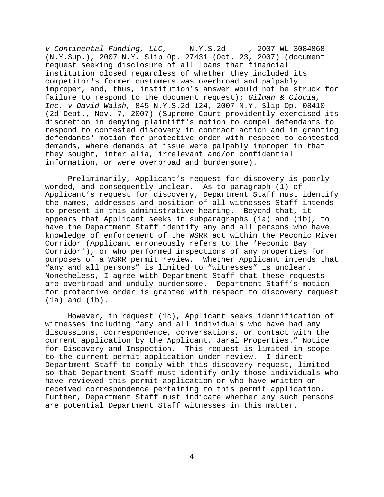*v Continental Funding, LLC,* --- N.Y.S.2d ----, 2007 WL 3084868 (N.Y.Sup.), 2007 N.Y. Slip Op. 27431 (Oct. 23, 2007) (document request seeking disclosure of all loans that financial institution closed regardless of whether they included its competitor's former customers was overbroad and palpably improper, and, thus, institution's answer would not be struck for failure to respond to the document request); *Gilman & Ciocia, Inc. v David Walsh,* 845 N.Y.S.2d 124, 2007 N.Y. Slip Op. 08410 (2d Dept., Nov. 7, 2007) (Supreme Court providently exercised its discretion in denying plaintiff's motion to compel defendants to respond to contested discovery in contract action and in granting defendants' motion for protective order with respect to contested demands, where demands at issue were palpably improper in that they sought, inter alia, irrelevant and/or confidential information, or were overbroad and burdensome).

Preliminarily, Applicant's request for discovery is poorly worded, and consequently unclear. As to paragraph (1) of Applicant's request for discovery, Department Staff must identify the names, addresses and position of all witnesses Staff intends to present in this administrative hearing. Beyond that, it appears that Applicant seeks in subparagraphs (1a) and (1b), to have the Department Staff identify any and all persons who have knowledge of enforcement of the WSRR act within the Peconic River Corridor (Applicant erroneously refers to the 'Peconic Bay Corridor'), or who performed inspections of any properties for purposes of a WSRR permit review. Whether Applicant intends that "any and all persons" is limited to "witnesses" is unclear. Nonetheless, I agree with Department Staff that these requests are overbroad and unduly burdensome. Department Staff's motion for protective order is granted with respect to discovery request (1a) and (1b).

However, in request (1c), Applicant seeks identification of witnesses including "any and all individuals who have had any discussions, correspondence, conversations, or contact with the current application by the Applicant, Jaral Properties." Notice for Discovery and Inspection. This request is limited in scope to the current permit application under review. I direct Department Staff to comply with this discovery request, limited so that Department Staff must identify only those individuals who have reviewed this permit application or who have written or received correspondence pertaining to this permit application. Further, Department Staff must indicate whether any such persons are potential Department Staff witnesses in this matter.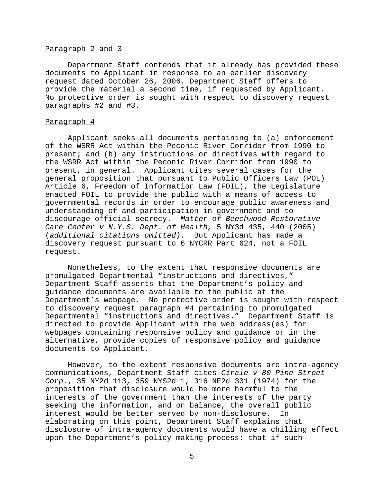## Paragraph 2 and 3

Department Staff contends that it already has provided these documents to Applicant in response to an earlier discovery request dated October 26, 2006. Department Staff offers to provide the material a second time, if requested by Applicant. No protective order is sought with respect to discovery request paragraphs #2 and #3.

#### Paragraph 4

Applicant seeks all documents pertaining to (a) enforcement of the WSRR Act within the Peconic River Corridor from 1990 to present; and (b) any instructions or directives with regard to the WSRR Act within the Peconic River Corridor from 1990 to present, in general. Applicant cites several cases for the general proposition that pursuant to Public Officers Law (POL) Article 6, Freedom of Information Law (FOIL), the Legislature enacted FOIL to provide the public with a means of access to governmental records in order to encourage public awareness and understanding of and participation in government and to discourage official secrecy. *Matter of Beechwood Restorative Care Center v N.Y.S. Dept. of Health,* 5 NY3d 435, 440 (2005) (*additional citations omitted).* But Applicant has made a discovery request pursuant to 6 NYCRR Part 624, not a FOIL request.

Nonetheless, to the extent that responsive documents are promulgated Departmental "instructions and directives," Department Staff asserts that the Department's policy and guidance documents are available to the public at the Department's webpage. No protective order is sought with respect to discovery request paragraph #4 pertaining to promulgated Departmental "instructions and directives." Department Staff is directed to provide Applicant with the web address(es) for webpages containing responsive policy and guidance or in the alternative, provide copies of responsive policy and guidance documents to Applicant.

However, to the extent responsive documents are intra-agency communications, Department Staff cites *Cirale v 80 Pine Street Corp.*, 35 NY2d 113, 359 NYS2d 1, 316 NE2d 301 (1974) for the proposition that disclosure would be more harmful to the interests of the government than the interests of the party seeking the information, and on balance, the overall public interest would be better served by non-disclosure. In elaborating on this point, Department Staff explains that disclosure of intra-agency documents would have a chilling effect upon the Department's policy making process; that if such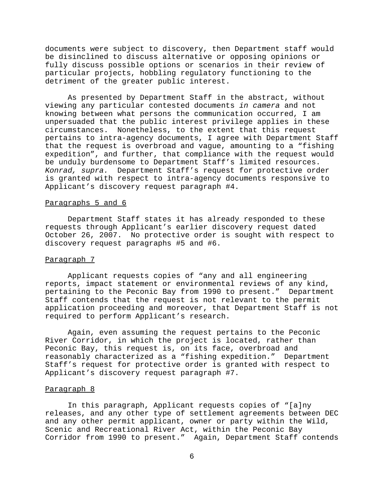documents were subject to discovery, then Department staff would be disinclined to discuss alternative or opposing opinions or fully discuss possible options or scenarios in their review of particular projects, hobbling regulatory functioning to the detriment of the greater public interest.

As presented by Department Staff in the abstract, without viewing any particular contested documents *in camera* and not knowing between what persons the communication occurred, I am unpersuaded that the public interest privilege applies in these circumstances. Nonetheless, to the extent that this request pertains to intra-agency documents, I agree with Department Staff that the request is overbroad and vague, amounting to a "fishing expedition", and further, that compliance with the request would be unduly burdensome to Department Staff's limited resources. *Konrad, supra.* Department Staff's request for protective order is granted with respect to intra-agency documents responsive to Applicant's discovery request paragraph #4.

#### Paragraphs 5 and 6

Department Staff states it has already responded to these requests through Applicant's earlier discovery request dated October 26, 2007. No protective order is sought with respect to discovery request paragraphs #5 and #6.

# Paragraph 7

Applicant requests copies of "any and all engineering reports, impact statement or environmental reviews of any kind, pertaining to the Peconic Bay from 1990 to present." Department Staff contends that the request is not relevant to the permit application proceeding and moreover, that Department Staff is not required to perform Applicant's research.

Again, even assuming the request pertains to the Peconic River Corridor, in which the project is located, rather than Peconic Bay, this request is, on its face, overbroad and reasonably characterized as a "fishing expedition." Department Staff's request for protective order is granted with respect to Applicant's discovery request paragraph #7.

#### Paragraph 8

In this paragraph, Applicant requests copies of "[a]ny releases, and any other type of settlement agreements between DEC and any other permit applicant, owner or party within the Wild, Scenic and Recreational River Act, within the Peconic Bay Corridor from 1990 to present." Again, Department Staff contends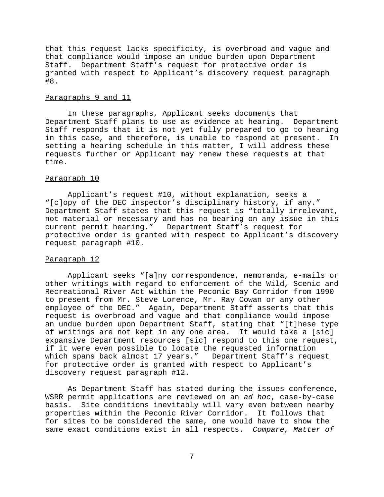that this request lacks specificity, is overbroad and vague and that compliance would impose an undue burden upon Department Staff. Department Staff's request for protective order is granted with respect to Applicant's discovery request paragraph #8.

## Paragraphs 9 and 11

In these paragraphs, Applicant seeks documents that Department Staff plans to use as evidence at hearing. Department Staff responds that it is not yet fully prepared to go to hearing in this case, and therefore, is unable to respond at present. In setting a hearing schedule in this matter, I will address these requests further or Applicant may renew these requests at that time.

#### Paragraph 10

Applicant's request #10, without explanation, seeks a "[c]opy of the DEC inspector's disciplinary history, if any." Department Staff states that this request is "totally irrelevant, not material or necessary and has no bearing on any issue in this current permit hearing." Department Staff's request for protective order is granted with respect to Applicant's discovery request paragraph #10.

# Paragraph 12

Applicant seeks "[a]ny correspondence, memoranda, e-mails or other writings with regard to enforcement of the Wild, Scenic and Recreational River Act within the Peconic Bay Corridor from 1990 to present from Mr. Steve Lorence, Mr. Ray Cowan or any other employee of the DEC." Again, Department Staff asserts that this request is overbroad and vague and that compliance would impose an undue burden upon Department Staff, stating that "[t]hese type of writings are not kept in any one area. It would take a [sic] expansive Department resources [sic] respond to this one request, if it were even possible to locate the requested information which spans back almost 17 years." Department Staff's request for protective order is granted with respect to Applicant's discovery request paragraph #12.

As Department Staff has stated during the issues conference, WSRR permit applications are reviewed on an *ad hoc*, case-by-case basis. Site conditions inevitably will vary even between nearby properties within the Peconic River Corridor. It follows that for sites to be considered the same, one would have to show the same exact conditions exist in all respects. *Compare, Matter of*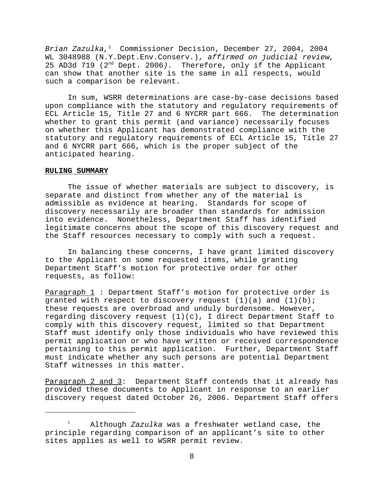*Brian Zazulka,*1 Commissioner Decision, December 27, 2004, 2004 WL 3048988 (N.Y.Dept.Env.Conserv.), *affirmed on judicial review,* 25 AD3d 719 (2nd Dept. 2006*).* Therefore, only if the Applicant can show that another site is the same in all respects, would such a comparison be relevant.

In sum, WSRR determinations are case-by-case decisions based upon compliance with the statutory and regulatory requirements of ECL Article 15, Title 27 and 6 NYCRR part 666. The determination whether to grant this permit (and variance) necessarily focuses on whether this Applicant has demonstrated compliance with the statutory and regulatory requirements of ECL Article 15, Title 27 and 6 NYCRR part 666, which is the proper subject of the anticipated hearing.

## **RULING SUMMARY**

The issue of whether materials are subject to discovery, is separate and distinct from whether any of the material is admissible as evidence at hearing. Standards for scope of discovery necessarily are broader than standards for admission into evidence. Nonetheless, Department Staff has identified legitimate concerns about the scope of this discovery request and the Staff resources necessary to comply with such a request.

In balancing these concerns, I have grant limited discovery to the Applicant on some requested items, while granting Department Staff's motion for protective order for other requests, as follow:

Paragraph 1: Department Staff's motion for protective order is granted with respect to discovery request  $(1)(a)$  and  $(1)(b)$ ; these requests are overbroad and unduly burdensome. However, regarding discovery request  $(1)(c)$ , I direct Department Staff to comply with this discovery request, limited so that Department Staff must identify only those individuals who have reviewed this permit application or who have written or received correspondence pertaining to this permit application. Further, Department Staff must indicate whether any such persons are potential Department Staff witnesses in this matter.

Paragraph 2 and 3: Department Staff contends that it already has provided these documents to Applicant in response to an earlier discovery request dated October 26, 2006. Department Staff offers

<sup>1</sup> Although *Zazulka* was a freshwater wetland case, the principle regarding comparison of an applicant's site to other sites applies as well to WSRR permit review.